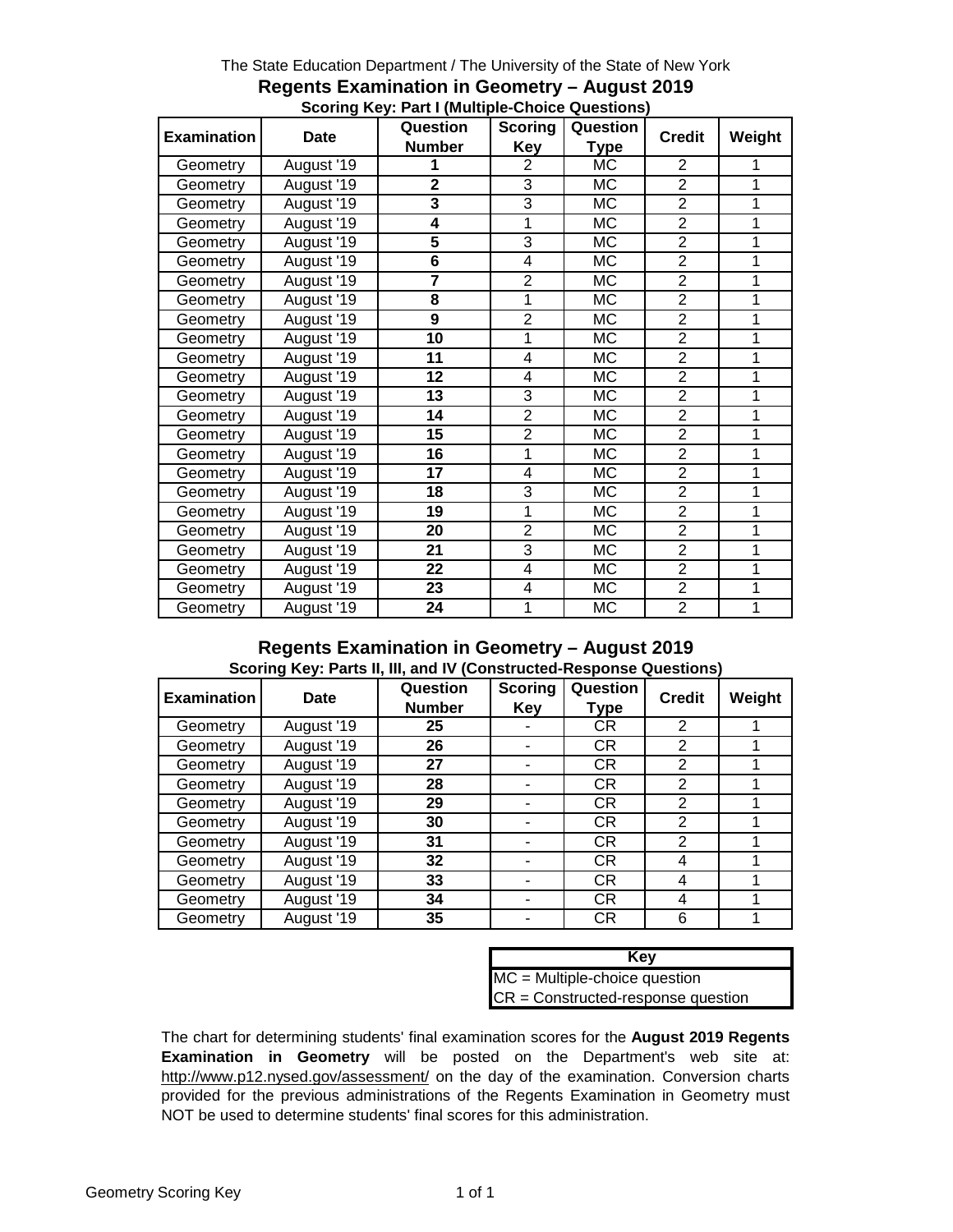|                    |             | <b>Scoring</b><br>Question |                | Question    |                |        |
|--------------------|-------------|----------------------------|----------------|-------------|----------------|--------|
| <b>Examination</b> | <b>Date</b> |                            |                |             | <b>Credit</b>  | Weight |
|                    |             | <b>Number</b>              | <b>Key</b>     | <b>Type</b> |                |        |
| Geometry           | August '19  | 1                          | 2              | <b>MC</b>   | $\overline{2}$ | 1      |
| Geometry           | August '19  | $\overline{2}$             | 3              | МC          | $\overline{2}$ | 1      |
| Geometry           | August '19  | 3                          | 3              | МC          | $\overline{2}$ | 1      |
| Geometry           | August '19  | 4                          | 1              | МC          | $\overline{2}$ | 1      |
| Geometry           | August '19  | 5                          | 3              | МC          | $\overline{2}$ | 1      |
| Geometry           | August '19  | 6                          | 4              | <b>MC</b>   | $\overline{2}$ | 1      |
| Geometry           | August '19  | $\overline{7}$             | $\overline{2}$ | МC          | $\overline{2}$ | 1      |
| Geometry           | August '19  | 8                          | 1              | <b>MC</b>   | $\overline{2}$ | 1      |
| Geometry           | August '19  | 9                          | $\overline{2}$ | МC          | $\overline{2}$ | 1      |
| Geometry           | August '19  | 10                         | 1              | МC          | $\overline{2}$ | 1      |
| Geometry           | August '19  | 11                         | 4              | МC          | $\overline{2}$ | 1      |
| Geometry           | August '19  | 12                         | 4              | МC          | $\overline{2}$ | 1      |
| Geometry           | August '19  | 13                         | 3              | МC          | $\overline{2}$ | 1      |
| Geometry           | August '19  | 14                         | $\overline{2}$ | <b>MC</b>   | $\overline{2}$ | 1      |
| Geometry           | August '19  | 15                         | $\overline{2}$ | МC          | $\overline{2}$ | 1      |
| Geometry           | August '19  | 16                         | 1              | МC          | $\overline{2}$ | 1      |
| Geometry           | August '19  | 17                         | 4              | МC          | $\overline{2}$ | 1      |
| Geometry           | August '19  | 18                         | 3              | МC          | $\overline{2}$ | 1      |
| Geometry           | August '19  | 19                         | 1              | MC          | $\overline{2}$ | 1      |
| Geometry           | August '19  | 20                         | $\overline{2}$ | MC          | $\overline{2}$ | 1      |
| Geometry           | August '19  | 21                         | 3              | МC          | $\overline{2}$ | 1      |
| Geometry           | August '19  | 22                         | 4              | МC          | $\overline{2}$ | 1      |
| Geometry           | August '19  | 23                         | 4              | МC          | $\overline{2}$ | 1      |
| Geometry           | August '19  | 24                         | 1              | МC          | $\overline{2}$ | 1      |

#### The State Education Department / The University of the State of New York **Regents Examination in Geometry – August 2019 Scoring Key: Part I (Multiple-Choice Questions)**

#### **Regents Examination in Geometry – August 2019 Scoring Key: Parts II, III, and IV (Constructed-Response Questions)**

| <b>Examination</b> | Date       | Question<br><b>Number</b> | <b>Scoring</b><br>Key | Question<br>Type | <b>Credit</b>  | Weight |
|--------------------|------------|---------------------------|-----------------------|------------------|----------------|--------|
| Geometry           | August '19 | 25                        |                       | CR               | 2              |        |
| Geometry           | August '19 | 26                        |                       | <b>CR</b>        | 2              |        |
| Geometry           | August '19 | 27                        |                       | <b>CR</b>        | 2              |        |
| Geometry           | August '19 | 28                        |                       | <b>CR</b>        | 2              |        |
| Geometry           | August '19 | 29                        |                       | <b>CR</b>        | $\mathfrak{p}$ |        |
| Geometry           | August '19 | 30                        | -                     | <b>CR</b>        | 2              |        |
| Geometry           | August '19 | 31                        |                       | <b>CR</b>        | 2              |        |
| Geometry           | August '19 | 32                        |                       | <b>CR</b>        | 4              |        |
| Geometry           | August '19 | 33                        |                       | <b>CR</b>        | 4              |        |
| Geometry           | August '19 | 34                        |                       | <b>CR</b>        | 4              |        |
| Geometry           | August '19 | 35                        |                       | <b>CR</b>        | 6              |        |

| Key                                  |
|--------------------------------------|
| $MC = Multiple-choice question$      |
| $CR = Constructed-response question$ |

The chart for determining students' final examination scores for the **August 2019 Regents Examination in Geometry** will be posted on the Department's web site at: http://www.p12.nysed.gov/assessment/ on the day of the examination. Conversion charts provided for the previous administrations of the Regents Examination in Geometry must NOT be used to determine students' final scores for this administration.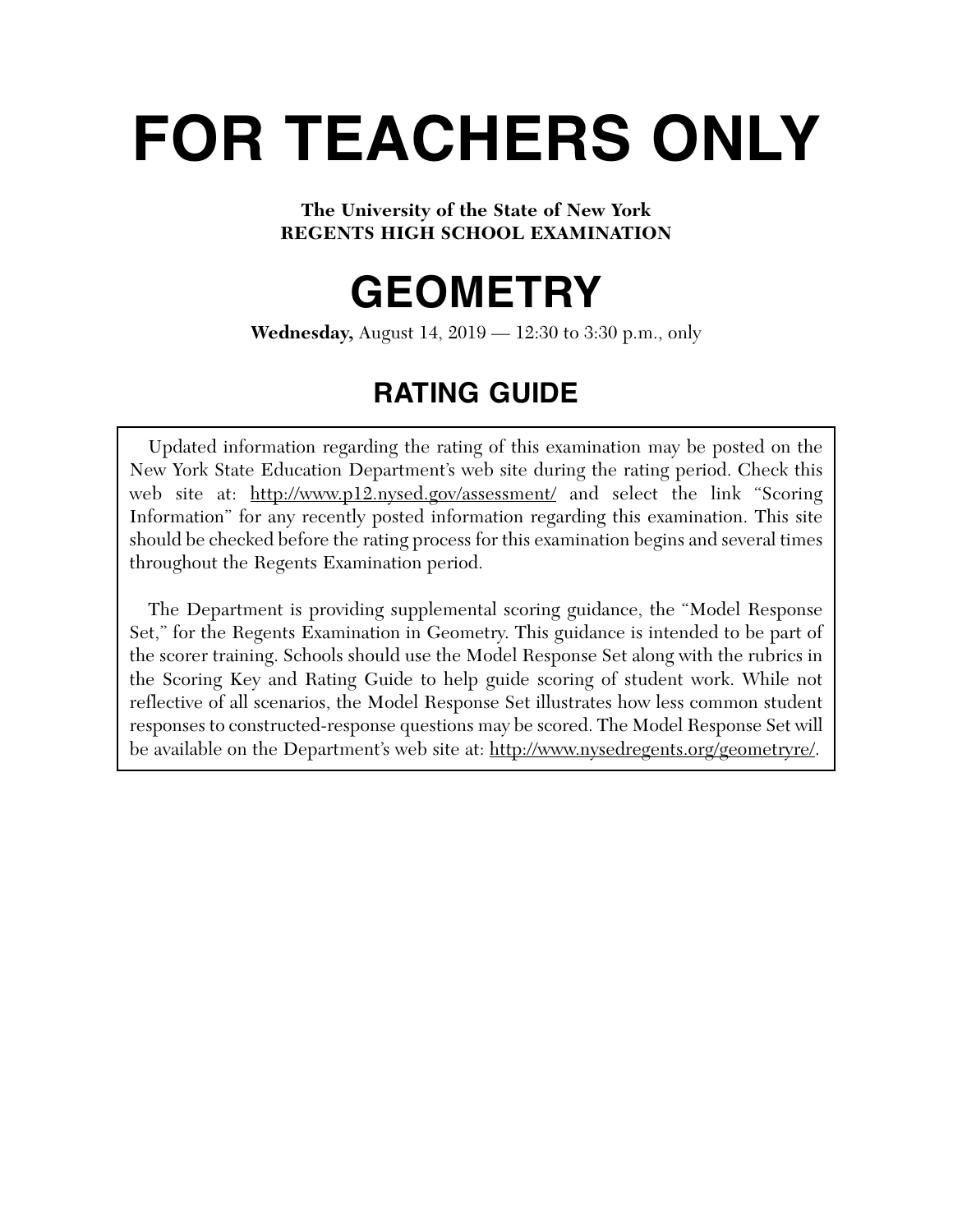# **FOR TEACHERS ONLY**

#### **The University of the State of New York REGENTS HIGH SCHOOL EXAMINATION**

## **GEOMETRY**

**Wednesday,** August 14, 2019 — 12:30 to 3:30 p.m., only

### **RATING GUIDE**

Updated information regarding the rating of this examination may be posted on the New York State Education Department's web site during the rating period. Check this web site at: http://www.p12.nysed.gov/assessment/ and select the link "Scoring" Information" for any recently posted information regarding this examination. This site should be checked before the rating process for this examination begins and several times throughout the Regents Examination period.

The Department is providing supplemental scoring guidance, the "Model Response Set," for the Regents Examination in Geometry. This guidance is intended to be part of the scorer training. Schools should use the Model Response Set along with the rubrics in the Scoring Key and Rating Guide to help guide scoring of student work. While not reflective of all scenarios, the Model Response Set illustrates how less common student responses to constructed-response questions may be scored. The Model Response Set will be available on the Department's web site at: http://www.nysedregents.org/geometryre/.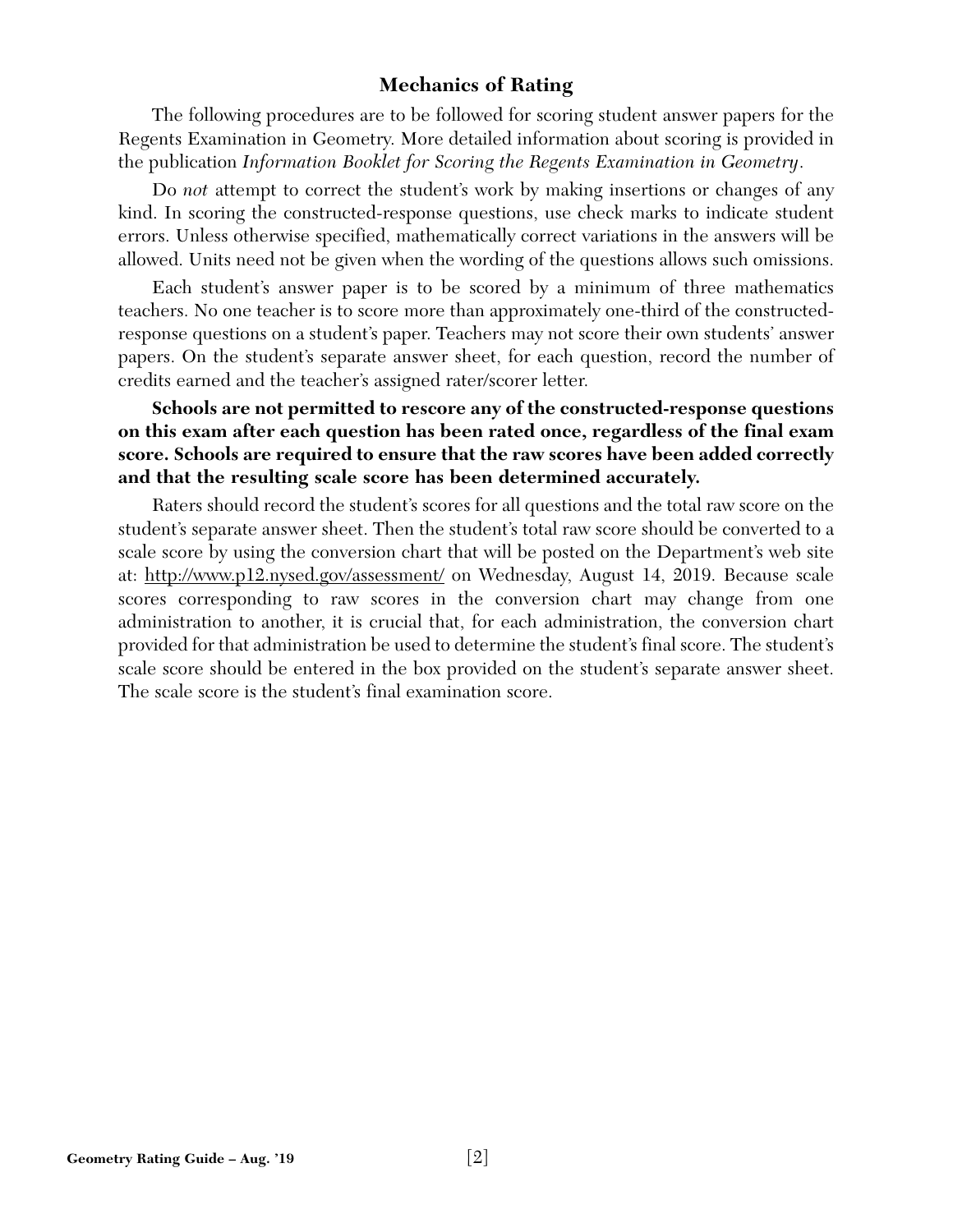#### **Mechanics of Rating**

The following procedures are to be followed for scoring student answer papers for the Regents Examination in Geometry. More detailed information about scoring is provided in the publication *Information Booklet for Scoring the Regents Examination in Geometry*.

Do *not* attempt to correct the student's work by making insertions or changes of any kind. In scoring the constructed-response questions, use check marks to indicate student errors. Unless otherwise specified, mathematically correct variations in the answers will be allowed. Units need not be given when the wording of the questions allows such omissions.

Each student's answer paper is to be scored by a minimum of three mathematics teachers. No one teacher is to score more than approximately one-third of the constructedresponse questions on a student's paper. Teachers may not score their own students' answer papers. On the student's separate answer sheet, for each question, record the number of credits earned and the teacher's assigned rater/scorer letter.

#### **Schools are not permitted to rescore any of the constructed-response questions on this exam after each question has been rated once, regardless of the final exam score. Schools are required to ensure that the raw scores have been added correctly and that the resulting scale score has been determined accurately.**

Raters should record the student's scores for all questions and the total raw score on the student's separate answer sheet. Then the student's total raw score should be converted to a scale score by using the conversion chart that will be posted on the Department's web site at: http://www.p12.nysed.gov/assessment/ on Wednesday, August 14, 2019. Because scale scores corresponding to raw scores in the conversion chart may change from one administration to another, it is crucial that, for each administration, the conversion chart provided for that administration be used to determine the student's final score. The student's scale score should be entered in the box provided on the student's separate answer sheet. The scale score is the student's final examination score.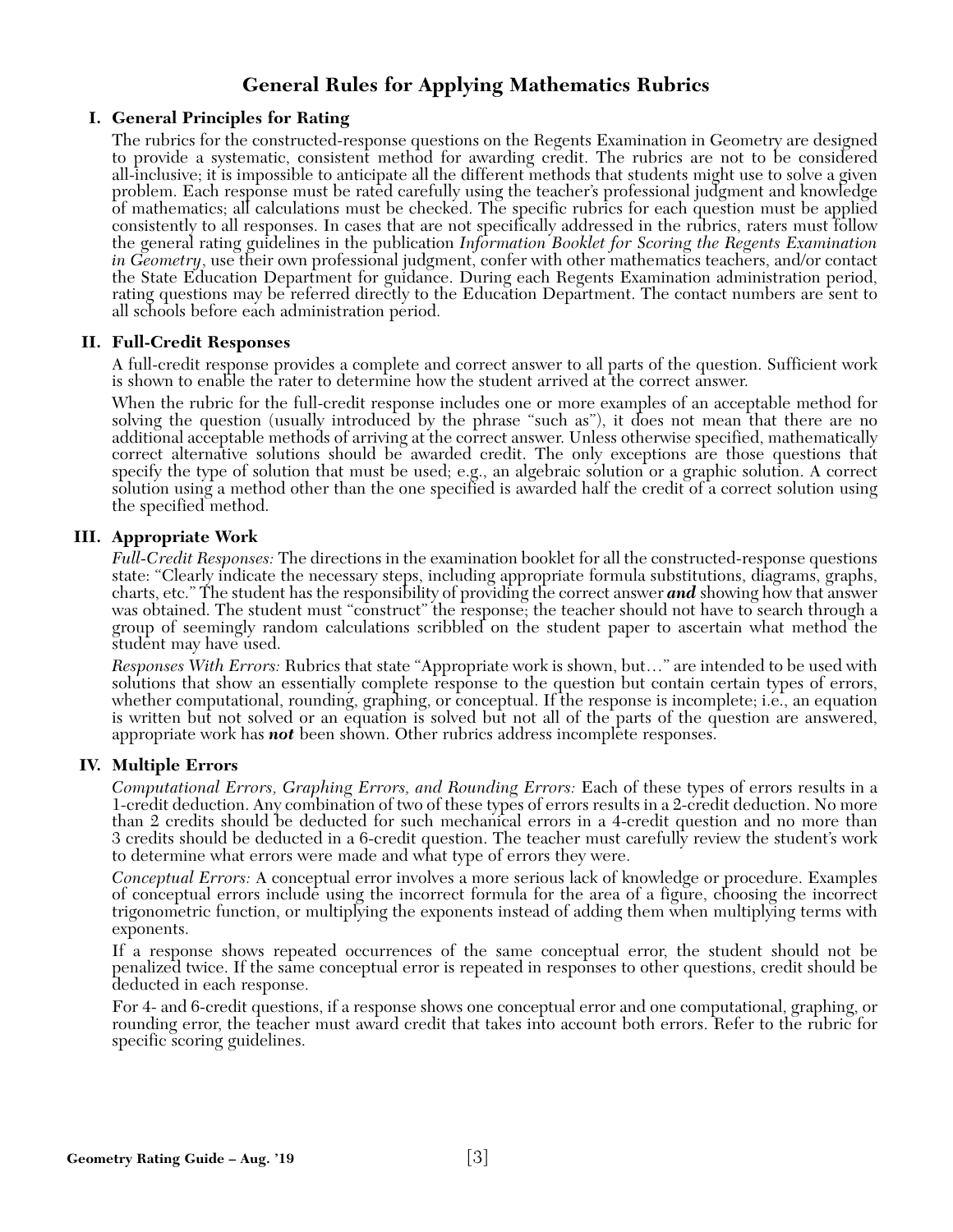#### **General Rules for Applying Mathematics Rubrics**

#### **I. General Principles for Rating**

The rubrics for the constructed-response questions on the Regents Examination in Geometry are designed to provide a systematic, consistent method for awarding credit. The rubrics are not to be considered all-inclusive; it is impossible to anticipate all the different methods that students might use to solve a given problem. Each response must be rated carefully using the teacher's professional judgment and knowledge of mathematics; all calculations must be checked. The specific rubrics for each question must be applied consistently to all responses. In cases that are not specifically addressed in the rubrics, raters must follow the general rating guidelines in the publication *Information Booklet for Scoring the Regents Examination in Geometry*, use their own professional judgment, confer with other mathematics teachers, and/or contact the State Education Department for guidance. During each Regents Examination administration period, rating questions may be referred directly to the Education Department. The contact numbers are sent to all schools before each administration period.

#### **II. Full-Credit Responses**

A full-credit response provides a complete and correct answer to all parts of the question. Sufficient work is shown to enable the rater to determine how the student arrived at the correct answer.

When the rubric for the full-credit response includes one or more examples of an acceptable method for solving the question (usually introduced by the phrase "such as"), it does not mean that there are no additional acceptable methods of arriving at the correct answer. Unless otherwise specified, mathematically correct alternative solutions should be awarded credit. The only exceptions are those questions that specify the type of solution that must be used; e.g., an algebraic solution or a graphic solution. A correct solution using a method other than the one specified is awarded half the credit of a correct solution using the specified method.

#### **III. Appropriate Work**

*Full-Credit Responses:* The directions in the examination booklet for all the constructed-response questions state: "Clearly indicate the necessary steps, including appropriate formula substitutions, diagrams, graphs, charts, etc." The student has the responsibility of providing the correct answer *and* showing how that answer was obtained. The student must "construct" the response; the teacher should not have to search through a group of seemingly random calculations scribbled on the student paper to ascertain what method the student may have used.

*Responses With Errors:* Rubrics that state "Appropriate work is shown, but…" are intended to be used with solutions that show an essentially complete response to the question but contain certain types of errors, whether computational, rounding, graphing, or conceptual. If the response is incomplete; i.e., an equation is written but not solved or an equation is solved but not all of the parts of the question are answered, appropriate work has *not* been shown. Other rubrics address incomplete responses.

#### **IV. Multiple Errors**

*Computational Errors, Graphing Errors, and Rounding Errors:* Each of these types of errors results in a 1-credit deduction. Any combination of two of these types of errors results in a 2-credit deduction. No more than 2 credits should be deducted for such mechanical errors in a 4-credit question and no more than 3 credits should be deducted in a 6-credit question. The teacher must carefully review the student's work to determine what errors were made and what type of errors they were.

*Conceptual Errors:* A conceptual error involves a more serious lack of knowledge or procedure. Examples of conceptual errors include using the incorrect formula for the area of a figure, choosing the incorrect trigonometric function, or multiplying the exponents instead of adding them when multiplying terms with exponents.

If a response shows repeated occurrences of the same conceptual error, the student should not be penalized twice. If the same conceptual error is repeated in responses to other questions, credit should be deducted in each response.

For 4- and 6-credit questions, if a response shows one conceptual error and one computational, graphing, or rounding error, the teacher must award credit that takes into account both errors. Refer to the rubric for specific scoring guidelines.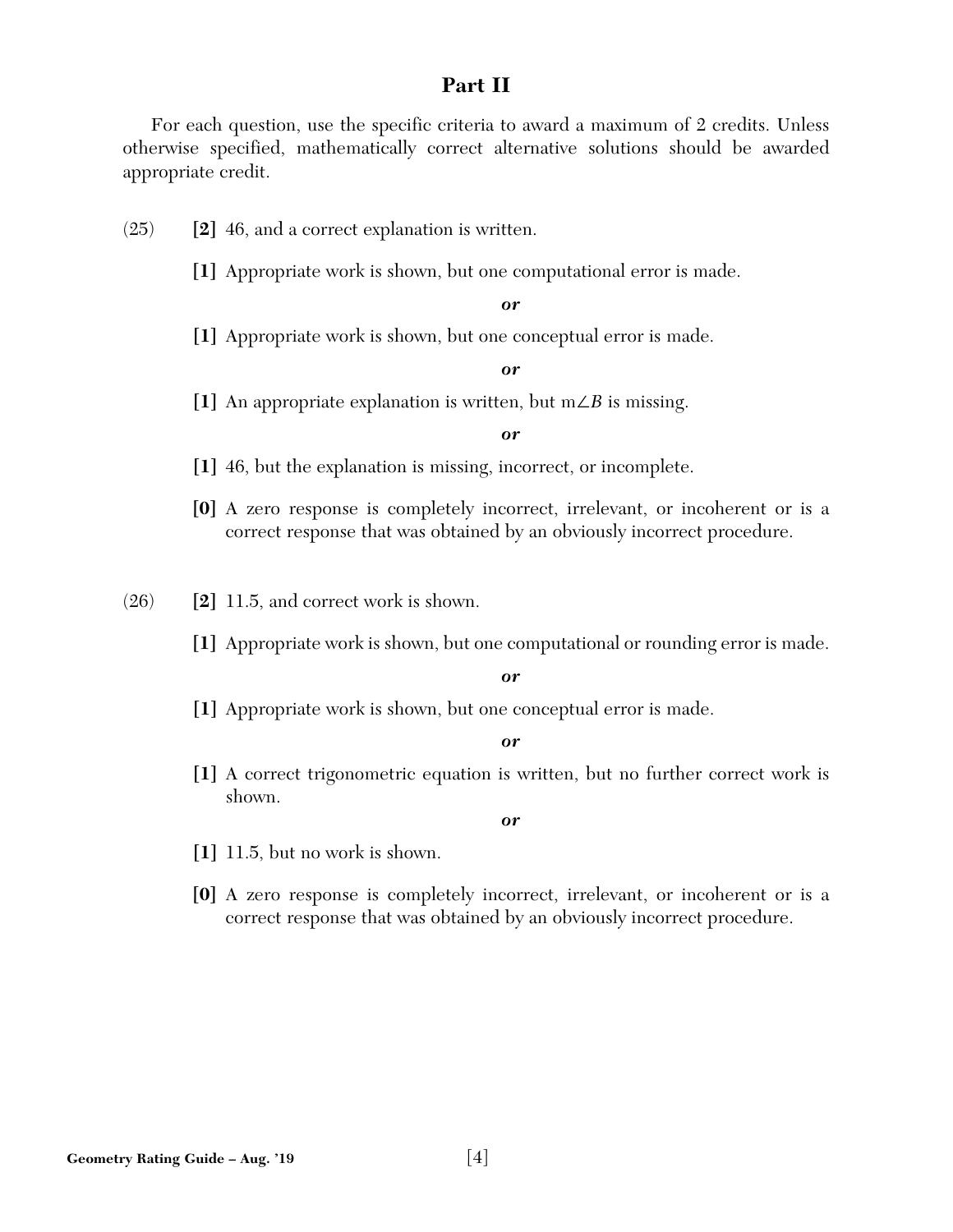#### **Part II**

For each question, use the specific criteria to award a maximum of 2 credits. Unless otherwise specified, mathematically correct alternative solutions should be awarded appropriate credit.

- (25) **[2]** 46, and a correct explanation is written.
	- **[1]** Appropriate work is shown, but one computational error is made.

*or* 

**[1]** Appropriate work is shown, but one conceptual error is made.

#### *or*

**[1]** An appropriate explanation is written, but m∠*B* is missing.

#### *or*

- **[1]** 46, but the explanation is missing, incorrect, or incomplete.
- **[0]** A zero response is completely incorrect, irrelevant, or incoherent or is a correct response that was obtained by an obviously incorrect procedure.

(26) **[2]** 11.5, and correct work is shown.

**[1]** Appropriate work is shown, but one computational or rounding error is made.

#### *or*

**[1]** Appropriate work is shown, but one conceptual error is made.

#### *or*

**[1]** A correct trigonometric equation is written, but no further correct work is shown.

- **[1]** 11.5, but no work is shown.
- **[0]** A zero response is completely incorrect, irrelevant, or incoherent or is a correct response that was obtained by an obviously incorrect procedure.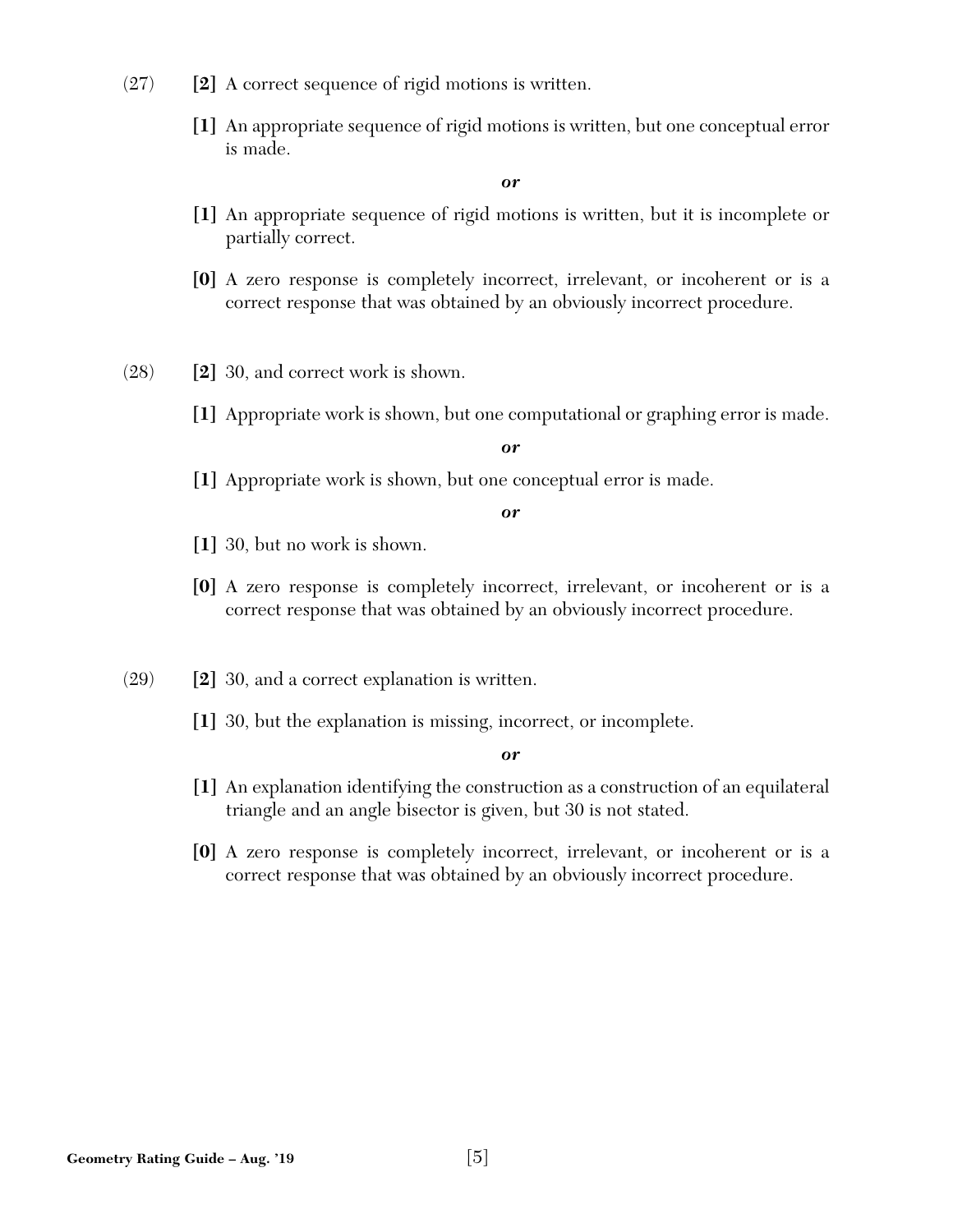- (27) **[2]** A correct sequence of rigid motions is written.
	- **[1]** An appropriate sequence of rigid motions is written, but one conceptual error is made.

- **[1]** An appropriate sequence of rigid motions is written, but it is incomplete or partially correct.
- **[0]** A zero response is completely incorrect, irrelevant, or incoherent or is a correct response that was obtained by an obviously incorrect procedure.
- (28) **[2]** 30, and correct work is shown.
	- **[1]** Appropriate work is shown, but one computational or graphing error is made.

*or* 

**[1]** Appropriate work is shown, but one conceptual error is made.

*or* 

- **[1]** 30, but no work is shown.
- **[0]** A zero response is completely incorrect, irrelevant, or incoherent or is a correct response that was obtained by an obviously incorrect procedure.
- (29) **[2]** 30, and a correct explanation is written.
	- **[1]** 30, but the explanation is missing, incorrect, or incomplete.

- **[1]** An explanation identifying the construction as a construction of an equilateral triangle and an angle bisector is given, but 30 is not stated.
- **[0]** A zero response is completely incorrect, irrelevant, or incoherent or is a correct response that was obtained by an obviously incorrect procedure.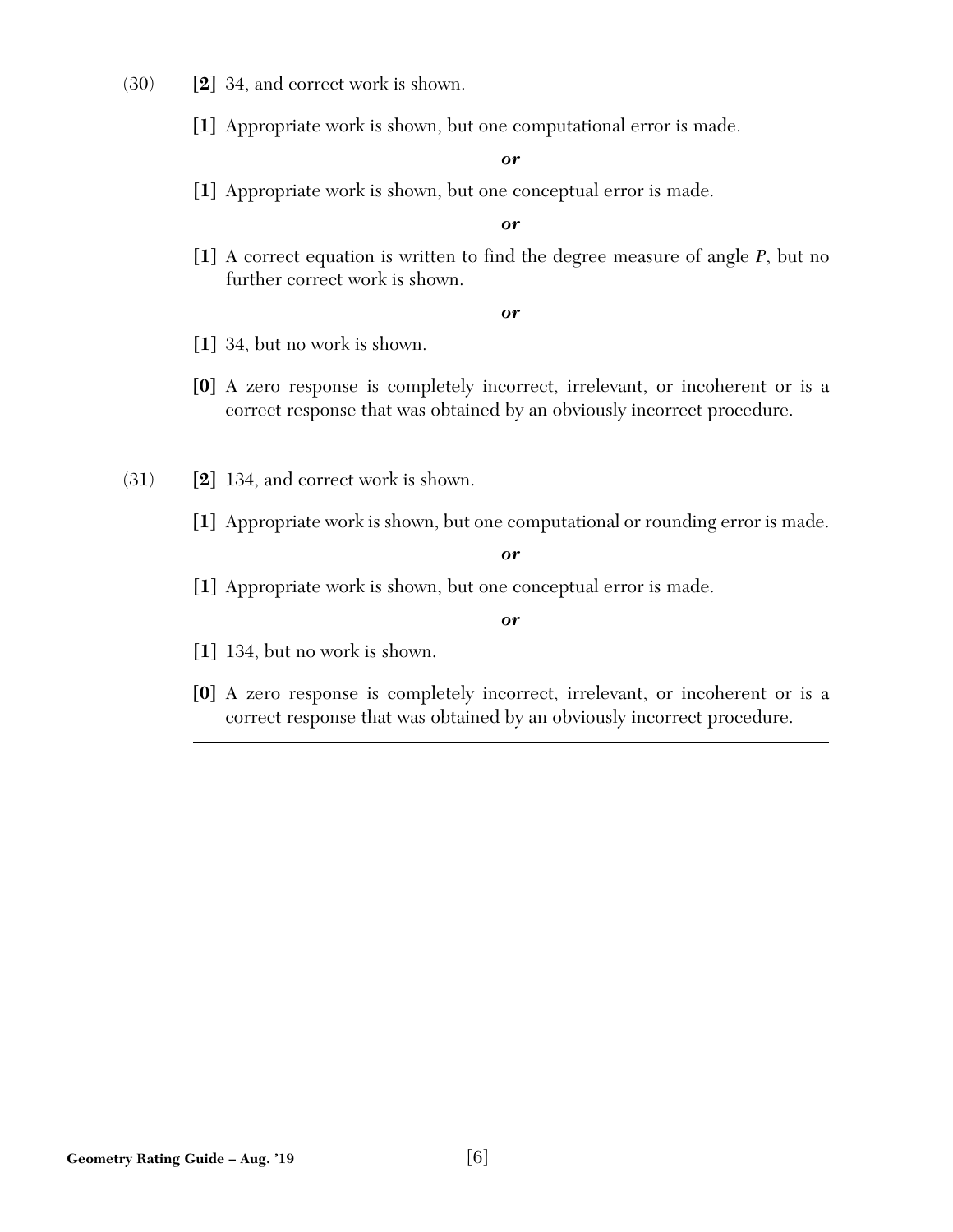- (30) **[2]** 34, and correct work is shown.
	- **[1]** Appropriate work is shown, but one computational error is made.

**[1]** Appropriate work is shown, but one conceptual error is made.

*or* 

**[1]** A correct equation is written to find the degree measure of angle *P*, but no further correct work is shown.

*or* 

- **[1]** 34, but no work is shown.
- **[0]** A zero response is completely incorrect, irrelevant, or incoherent or is a correct response that was obtained by an obviously incorrect procedure.
- (31) **[2]** 134, and correct work is shown.
	- **[1]** Appropriate work is shown, but one computational or rounding error is made.

*or* 

**[1]** Appropriate work is shown, but one conceptual error is made.

- **[1]** 134, but no work is shown.
- **[0]** A zero response is completely incorrect, irrelevant, or incoherent or is a correct response that was obtained by an obviously incorrect procedure.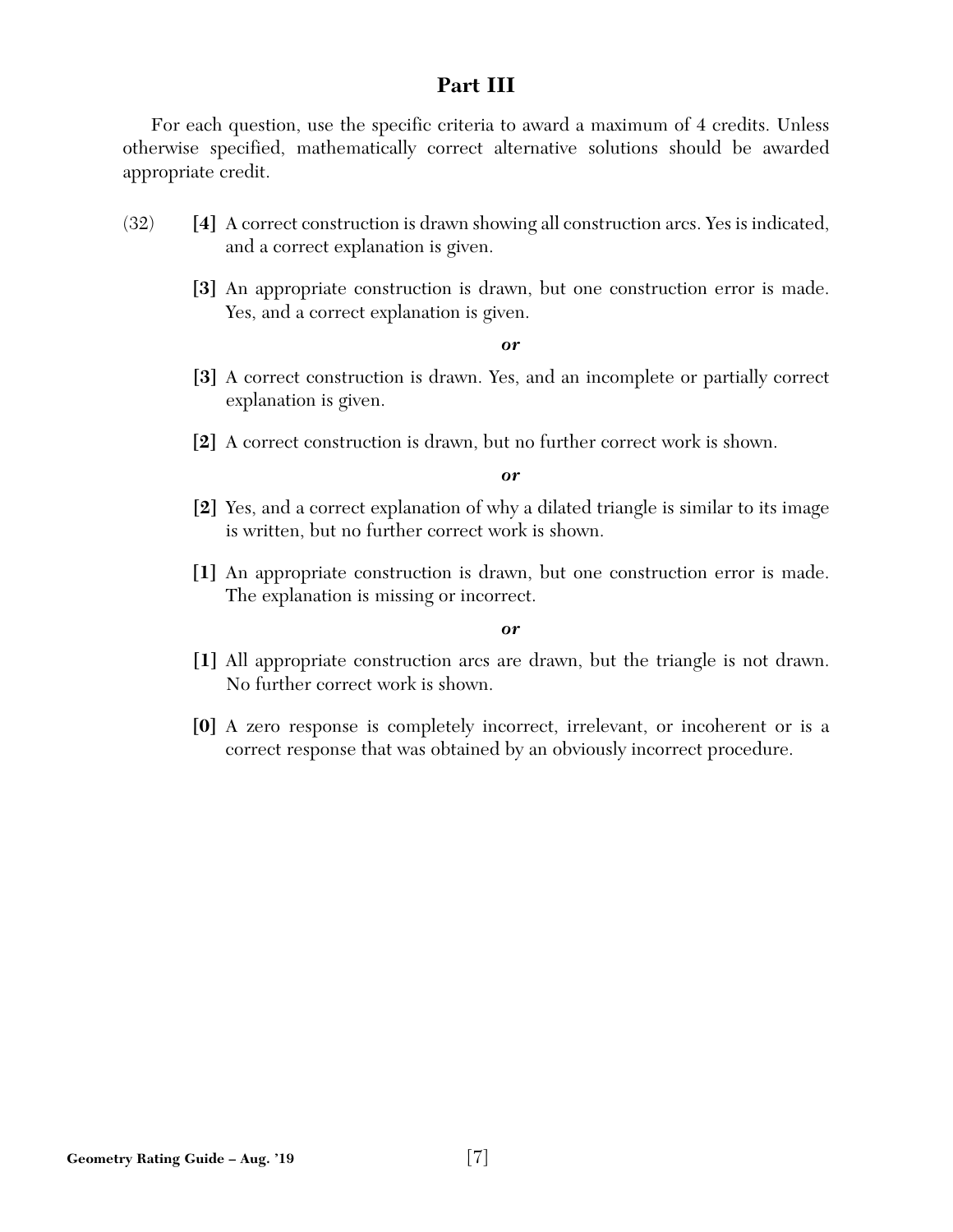#### **Part III**

For each question, use the specific criteria to award a maximum of 4 credits. Unless otherwise specified, mathematically correct alternative solutions should be awarded appropriate credit.

- (32) **[4]** A correct construction is drawn showing all construction arcs. Yes is indicated, and a correct explanation is given.
	- **[3]** An appropriate construction is drawn, but one construction error is made. Yes, and a correct explanation is given.

#### *or*

- **[3]** A correct construction is drawn. Yes, and an incomplete or partially correct explanation is given.
- **[2]** A correct construction is drawn, but no further correct work is shown.

#### *or*

- **[2]** Yes, and a correct explanation of why a dilated triangle is similar to its image is written, but no further correct work is shown.
- **[1]** An appropriate construction is drawn, but one construction error is made. The explanation is missing or incorrect.

- **[1]** All appropriate construction arcs are drawn, but the triangle is not drawn. No further correct work is shown.
- **[0]** A zero response is completely incorrect, irrelevant, or incoherent or is a correct response that was obtained by an obviously incorrect procedure.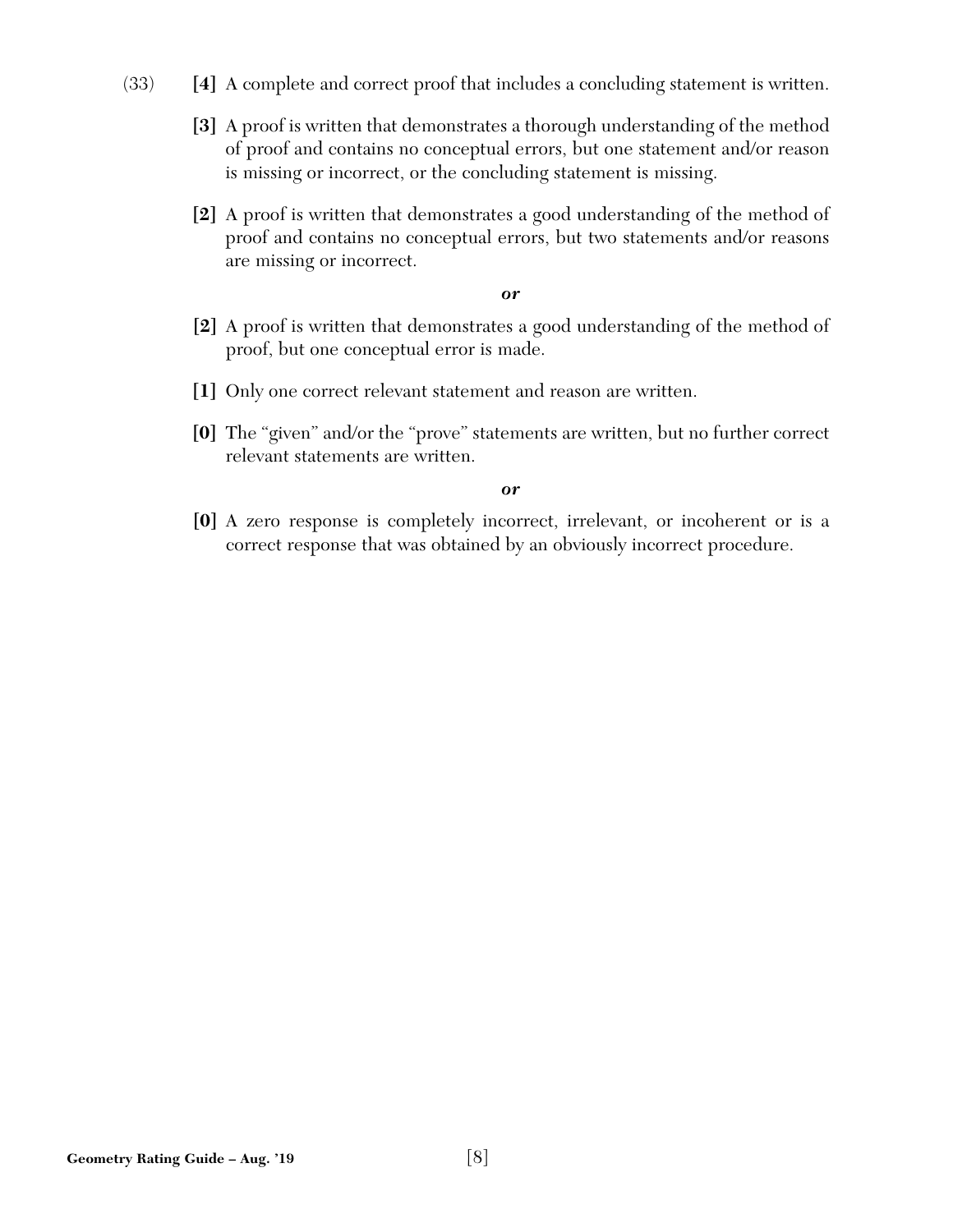- (33) **[4]** A complete and correct proof that includes a concluding statement is written.
	- **[3]** A proof is written that demonstrates a thorough understanding of the method of proof and contains no conceptual errors, but one statement and/or reason is missing or incorrect, or the concluding statement is missing.
	- **[2]** A proof is written that demonstrates a good understanding of the method of proof and contains no conceptual errors, but two statements and/or reasons are missing or incorrect.

- **[2]** A proof is written that demonstrates a good understanding of the method of proof, but one conceptual error is made.
- **[1]** Only one correct relevant statement and reason are written.
- **[0]** The "given" and/or the "prove" statements are written, but no further correct relevant statements are written.

#### *or*

**[0]** A zero response is completely incorrect, irrelevant, or incoherent or is a correct response that was obtained by an obviously incorrect procedure.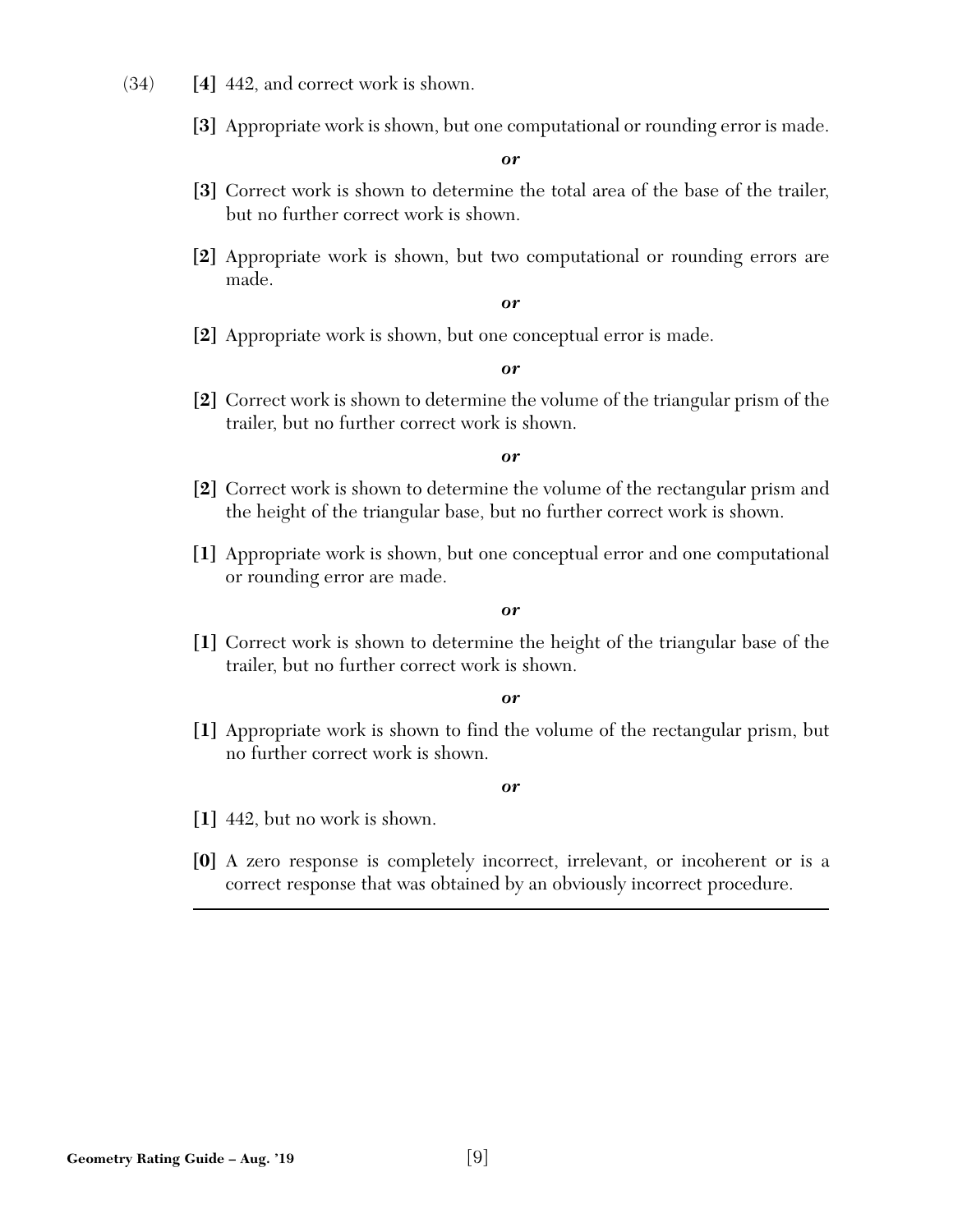- (34) **[4]** 442, and correct work is shown.
	- **[3]** Appropriate work is shown, but one computational or rounding error is made.

- **[3]** Correct work is shown to determine the total area of the base of the trailer, but no further correct work is shown.
- **[2]** Appropriate work is shown, but two computational or rounding errors are made.

*or* 

**[2]** Appropriate work is shown, but one conceptual error is made.

*or* 

**[2]** Correct work is shown to determine the volume of the triangular prism of the trailer, but no further correct work is shown.

*or* 

- **[2]** Correct work is shown to determine the volume of the rectangular prism and the height of the triangular base, but no further correct work is shown.
- **[1]** Appropriate work is shown, but one conceptual error and one computational or rounding error are made.

*or* 

**[1]** Correct work is shown to determine the height of the triangular base of the trailer, but no further correct work is shown.

*or* 

**[1]** Appropriate work is shown to find the volume of the rectangular prism, but no further correct work is shown.

- **[1]** 442, but no work is shown.
- **[0]** A zero response is completely incorrect, irrelevant, or incoherent or is a correct response that was obtained by an obviously incorrect procedure.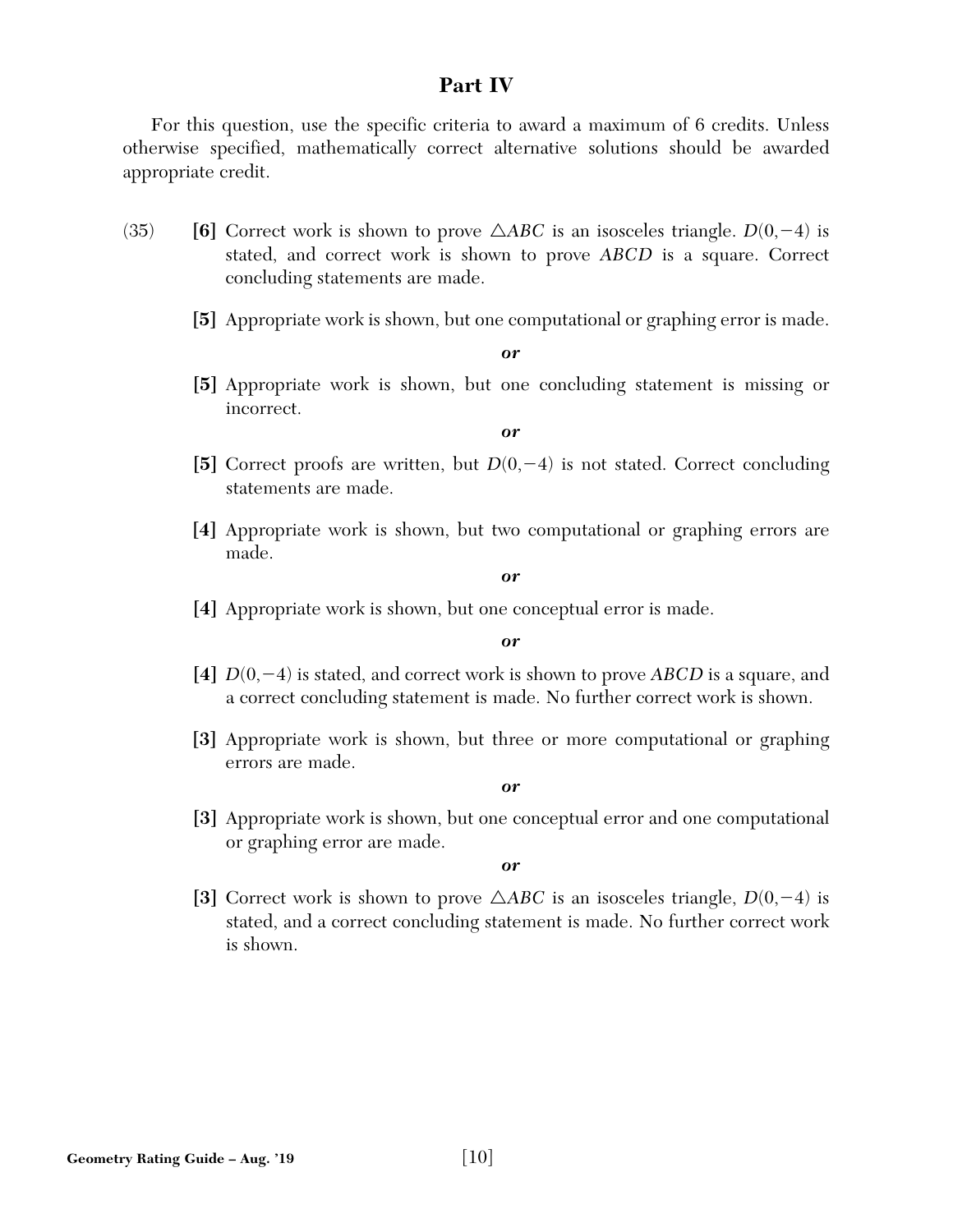#### **Part IV**

For this question, use the specific criteria to award a maximum of 6 credits. Unless otherwise specified, mathematically correct alternative solutions should be awarded appropriate credit.

- (35) **[6]** Correct work is shown to prove  $\triangle ABC$  is an isosceles triangle.  $D(0, -4)$  is stated, and correct work is shown to prove *ABCD* is a square. Correct concluding statements are made.
	- **[5]** Appropriate work is shown, but one computational or graphing error is made.

*or* 

**[5]** Appropriate work is shown, but one concluding statement is missing or incorrect.

*or* 

- [5] Correct proofs are written, but  $D(0, -4)$  is not stated. Correct concluding statements are made.
- **[4]** Appropriate work is shown, but two computational or graphing errors are made.

#### *or*

**[4]** Appropriate work is shown, but one conceptual error is made.

*or* 

- **[4]** *D*(0,-4) is stated, and correct work is shown to prove *ABCD* is a square, and a correct concluding statement is made. No further correct work is shown.
- **[3]** Appropriate work is shown, but three or more computational or graphing errors are made.

*or* 

**[3]** Appropriate work is shown, but one conceptual error and one computational or graphing error are made.

*or* 

[3] Correct work is shown to prove  $\triangle ABC$  is an isosceles triangle,  $D(0, -4)$  is stated, and a correct concluding statement is made. No further correct work is shown.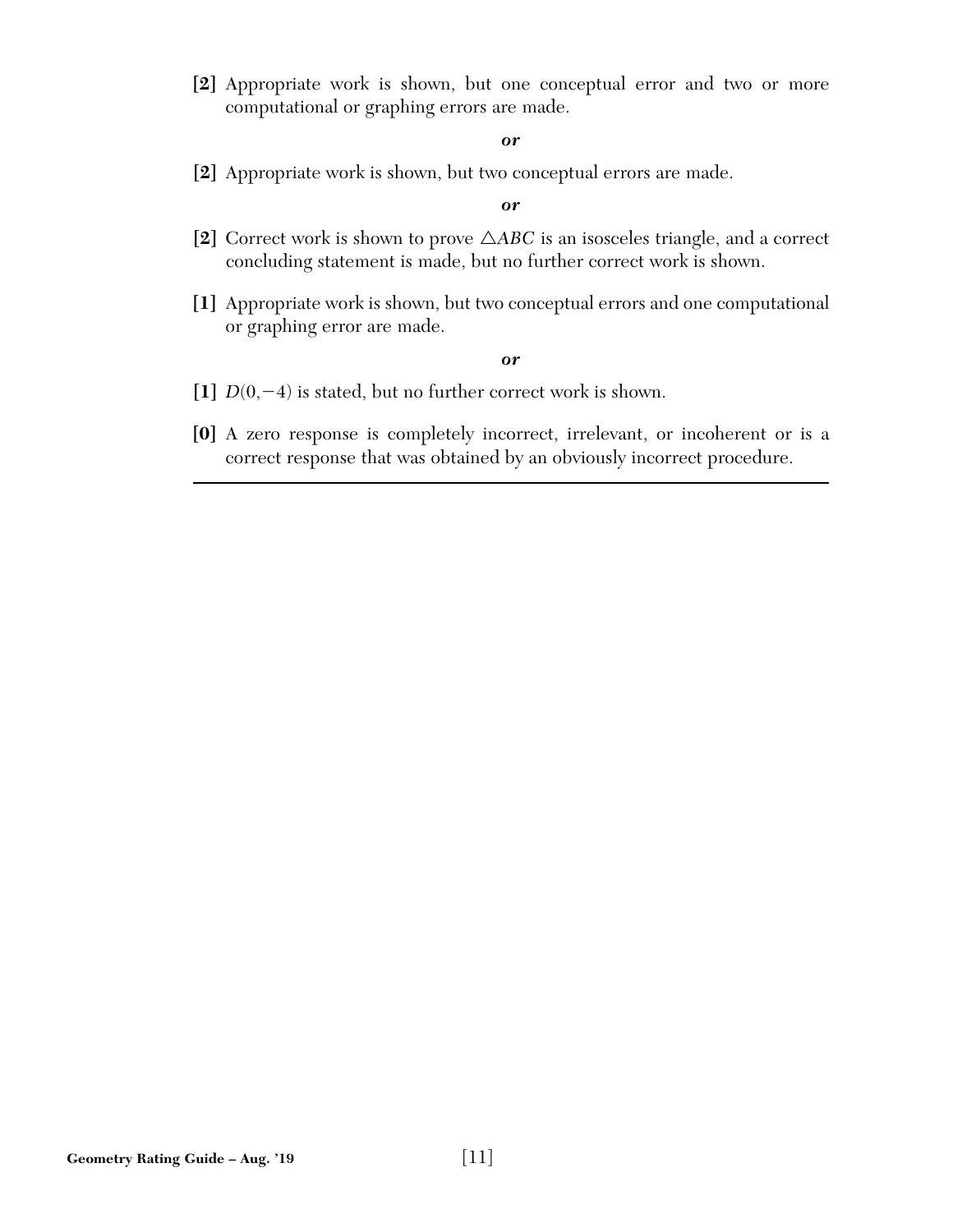**[2]** Appropriate work is shown, but one conceptual error and two or more computational or graphing errors are made.

#### *or*

**[2]** Appropriate work is shown, but two conceptual errors are made.

#### *or*

- **[2]** Correct work is shown to prove r*ABC* is an isosceles triangle, and a correct concluding statement is made, but no further correct work is shown.
- **[1]** Appropriate work is shown, but two conceptual errors and one computational or graphing error are made.

- **[1]** *D*(0,-4) is stated, but no further correct work is shown.
- **[0]** A zero response is completely incorrect, irrelevant, or incoherent or is a correct response that was obtained by an obviously incorrect procedure.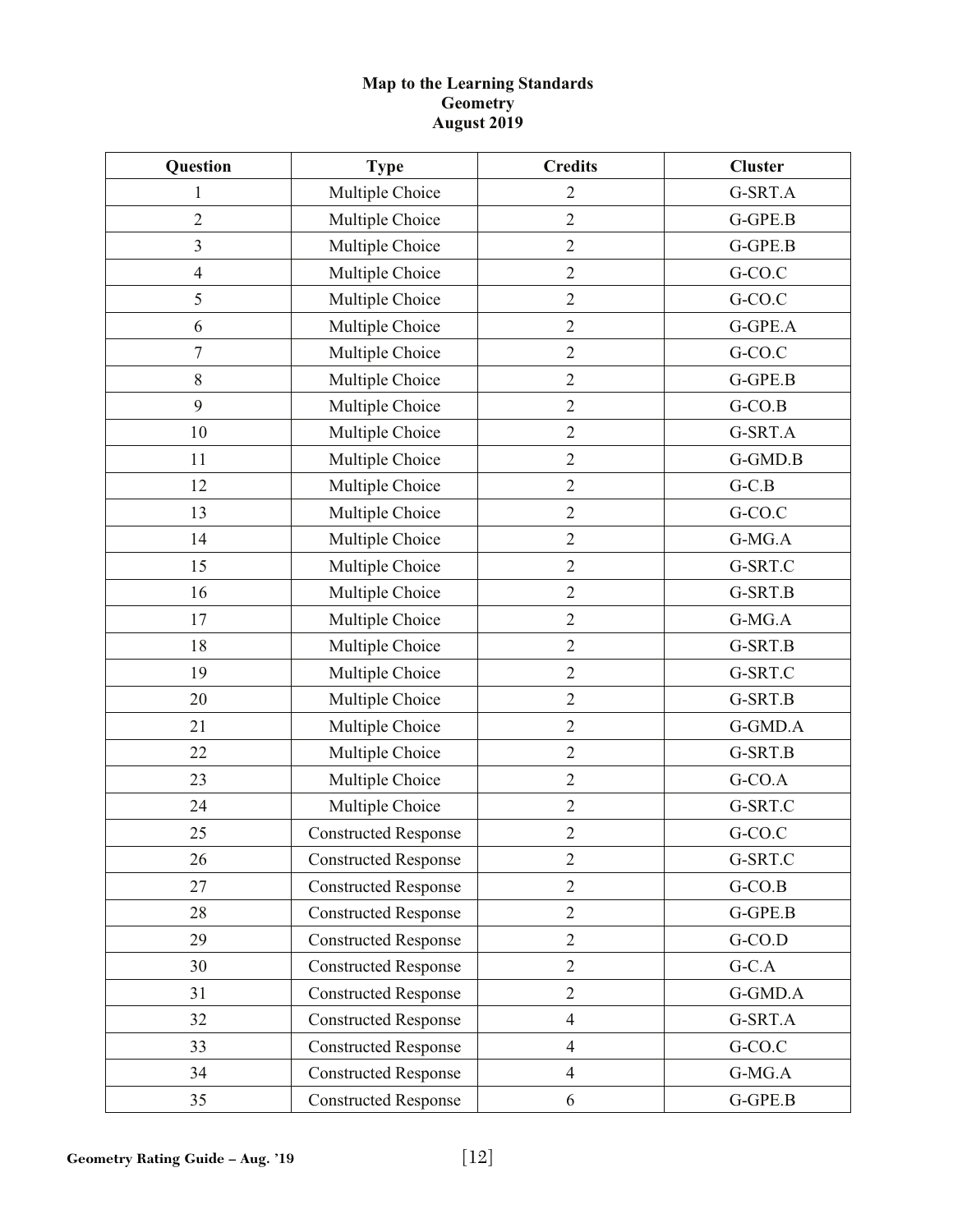#### **Map to the Learning Standards Geometry August 2019**

| Question         | <b>Type</b>                 | <b>Credits</b> | <b>Cluster</b> |
|------------------|-----------------------------|----------------|----------------|
| $\mathbf{1}$     | Multiple Choice             | $\overline{c}$ | G-SRT.A        |
| $\overline{2}$   | Multiple Choice             | $\overline{2}$ | G-GPE.B        |
| 3                | Multiple Choice             | $\mathbf{2}$   | G-GPE.B        |
| $\overline{4}$   | Multiple Choice             | $\overline{2}$ | G-CO.C         |
| 5                | Multiple Choice             | $\mathbf{2}$   | G-CO.C         |
| 6                | Multiple Choice             | $\overline{2}$ | G-GPE.A        |
| $\boldsymbol{7}$ | Multiple Choice             | $\sqrt{2}$     | G-CO.C         |
| $8\,$            | Multiple Choice             | $\overline{2}$ | G-GPE.B        |
| 9                | Multiple Choice             | $\overline{2}$ | $G-CO.B$       |
| 10               | Multiple Choice             | $\sqrt{2}$     | G-SRT.A        |
| 11               | Multiple Choice             | $\sqrt{2}$     | G-GMD.B        |
| 12               | Multiple Choice             | $\mathbf{2}$   | $G-C.B$        |
| 13               | Multiple Choice             | $\overline{2}$ | G-CO.C         |
| 14               | Multiple Choice             | $\sqrt{2}$     | G-MG.A         |
| 15               | Multiple Choice             | $\overline{2}$ | G-SRT.C        |
| 16               | Multiple Choice             | $\overline{2}$ | G-SRT.B        |
| 17               | Multiple Choice             | $\mathbf{2}$   | G-MG.A         |
| 18               | Multiple Choice             | $\overline{2}$ | G-SRT.B        |
| 19               | Multiple Choice             | $\mathbf{2}$   | G-SRT.C        |
| 20               | Multiple Choice             | $\overline{2}$ | G-SRT.B        |
| 21               | Multiple Choice             | $\sqrt{2}$     | G-GMD.A        |
| 22               | Multiple Choice             | $\overline{2}$ | G-SRT.B        |
| 23               | Multiple Choice             | $\overline{2}$ | $G-CO.A$       |
| 24               | Multiple Choice             | $\sqrt{2}$     | G-SRT.C        |
| 25               | <b>Constructed Response</b> | $\mathbf{2}$   | G-CO.C         |
| 26               | <b>Constructed Response</b> | $\mathfrak{2}$ | G-SRT.C        |
| 27               | <b>Constructed Response</b> | $\overline{2}$ | $G-CO.B$       |
| 28               | <b>Constructed Response</b> | $\overline{2}$ | G-GPE.B        |
| 29               | <b>Constructed Response</b> | $\overline{2}$ | $G-CO.D$       |
| 30               | <b>Constructed Response</b> | $\overline{2}$ | $G-C.A$        |
| 31               | <b>Constructed Response</b> | $\overline{2}$ | G-GMD.A        |
| 32               | <b>Constructed Response</b> | $\overline{4}$ | G-SRT.A        |
| 33               | <b>Constructed Response</b> | $\overline{4}$ | G-CO.C         |
| 34               | <b>Constructed Response</b> | $\overline{4}$ | G-MG.A         |
| 35               | <b>Constructed Response</b> | 6              | G-GPE.B        |